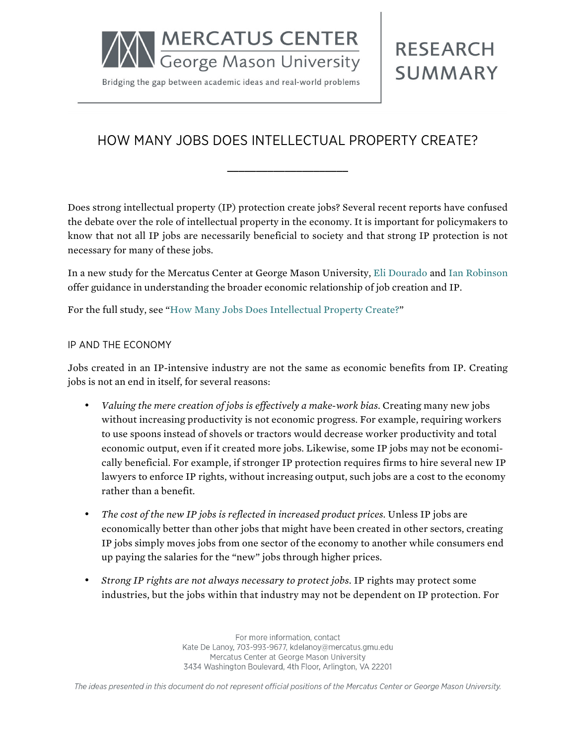

Bridging the gap between academic ideas and real-world problems

# **RESEARCH SUMMARY**

# HOW MANY JOBS DOES INTELLECTUAL PROPERTY CREATE?

**\_\_\_\_\_\_\_\_\_\_\_\_\_\_\_\_\_\_\_\_\_**

Does strong intellectual property (IP) protection create jobs? Several recent reports have confused the debate over the role of intellectual property in the economy. It is important for policymakers to know that not all IP jobs are necessarily beneficial to society and that strong IP protection is not necessary for many of these jobs.

In a new study for the Mercatus Center at George Mason University, [Eli Dourado](http://mercatus.org/eli-dourado) and [Ian Robinson](http://mercatus.org/ian-robinson) offer guidance in understanding the broader economic relationship of job creation and IP.

For the full study, see ["How Many Jobs Does Intellectual Property Create?](http://mercatus.org/publication/how-many-jobs-does-intellectual-property-create)"

#### IP AND THE ECONOMY

Jobs created in an IP-intensive industry are not the same as economic benefits from IP. Creating jobs is not an end in itself, for several reasons:

- *Valuing the mere creation of jobs is effectively a make-work bias.* Creating many new jobs without increasing productivity is not economic progress. For example, requiring workers to use spoons instead of shovels or tractors would decrease worker productivity and total economic output, even if it created more jobs. Likewise, some IP jobs may not be economically beneficial. For example, if stronger IP protection requires firms to hire several new IP lawyers to enforce IP rights, without increasing output, such jobs are a cost to the economy rather than a benefit.
- *The cost of the new IP jobs is reflected in increased product prices.* Unless IP jobs are economically better than other jobs that might have been created in other sectors, creating IP jobs simply moves jobs from one sector of the economy to another while consumers end up paying the salaries for the "new" jobs through higher prices.
- *Strong IP rights are not always necessary to protect jobs.* IP rights may protect some industries, but the jobs within that industry may not be dependent on IP protection. For

For more information, contact Kate De Lanoy, 703-993-9677, kdelanoy@mercatus.gmu.edu Mercatus Center at George Mason University 3434 Washington Boulevard, 4th Floor, Arlington, VA 22201

The ideas presented in this document do not represent official positions of the Mercatus Center or George Mason University.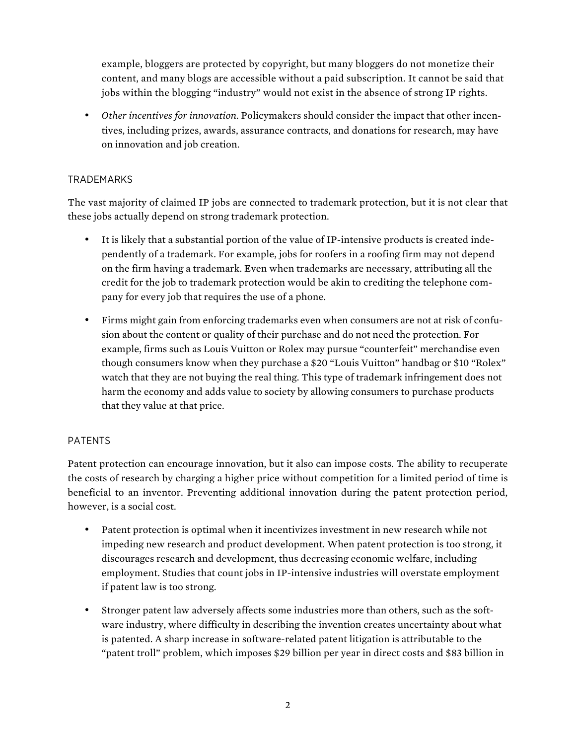example, bloggers are protected by copyright, but many bloggers do not monetize their content, and many blogs are accessible without a paid subscription. It cannot be said that jobs within the blogging "industry" would not exist in the absence of strong IP rights.

• *Other incentives for innovation.* Policymakers should consider the impact that other incentives, including prizes, awards, assurance contracts, and donations for research, may have on innovation and job creation.

## TRADEMARKS

The vast majority of claimed IP jobs are connected to trademark protection, but it is not clear that these jobs actually depend on strong trademark protection.

- It is likely that a substantial portion of the value of IP-intensive products is created independently of a trademark. For example, jobs for roofers in a roofing firm may not depend on the firm having a trademark. Even when trademarks are necessary, attributing all the credit for the job to trademark protection would be akin to crediting the telephone company for every job that requires the use of a phone.
- Firms might gain from enforcing trademarks even when consumers are not at risk of confusion about the content or quality of their purchase and do not need the protection. For example, firms such as Louis Vuitton or Rolex may pursue "counterfeit" merchandise even though consumers know when they purchase a \$20 "Louis Vuitton" handbag or \$10 "Rolex" watch that they are not buying the real thing. This type of trademark infringement does not harm the economy and adds value to society by allowing consumers to purchase products that they value at that price.

# PATENTS

Patent protection can encourage innovation, but it also can impose costs. The ability to recuperate the costs of research by charging a higher price without competition for a limited period of time is beneficial to an inventor. Preventing additional innovation during the patent protection period, however, is a social cost.

- Patent protection is optimal when it incentivizes investment in new research while not impeding new research and product development. When patent protection is too strong, it discourages research and development, thus decreasing economic welfare, including employment. Studies that count jobs in IP-intensive industries will overstate employment if patent law is too strong.
- Stronger patent law adversely affects some industries more than others, such as the software industry, where difficulty in describing the invention creates uncertainty about what is patented. A sharp increase in software-related patent litigation is attributable to the "patent troll" problem, which imposes \$29 billion per year in direct costs and \$83 billion in